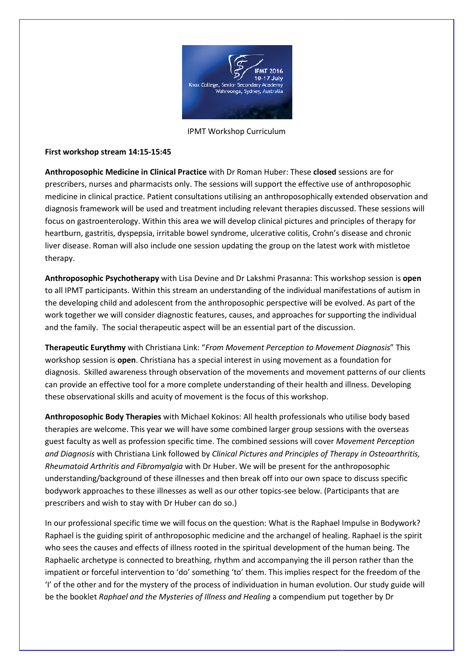

IPMT Workshop Curriculum

## First workshop stream 14:15-15:45

First workshop stream 14:15-15:45<br>Anthroposophic Medicine in Clinical Practice with Dr Roman Huber: These closed sessions are for prescribers, nurses and pharmacists only. The sessions will support the effective use of anthroposophic medicine in clinical practice. Patient consultations utilising an anthroposophically extended observation and diagnosis framework will be used and treatment including relevant therapies discussed. These sessions will focus on gastroenterology. Within this area we will develop clinical pictures and principles of therapy for heartburn, gastritis, dyspepsia, irritable bowel syndrome, ulcerative colitis, Crohn's disease and chronic liver disease. Roman will also include one session updating the group on the latest work with mistletoe therapy.

Anthroposophic Psychotherapy with Lisa Devine and Dr Lakshmi Prasanna: This workshop session is open to all IPMT participants. Within this stream an understanding of the individual manifestations of autism in the developing child and adolescent from the anthroposophic perspective will be evolved. As part of the work together we will consider diagnostic features, causes, and approaches for supporting the individual and the family. The social therapeutic aspect will be an essential part of the discussion.

Therapeutic Eurythmy with Christiana Link: "From Movement Perception to Movement Diagnosis" This workshop session is open. Christiana has a special interest in using movement as a foundation for diagnosis. Skilled awareness through observation of the movements and movement patterns of our clients can provide an effective tool for a more complete understanding of their health and illness. Developing these observational skills and acuity of movement is the focus of this workshop.

Anthroposophic Body Therapies with Michael Kokinos: All health professionals who utilise body based therapies are welcome. This year we will have some combined larger group sessions with the overseas guest faculty as well as profession specific time. The combined sessions will cover Movement Perception and Diagnosis with Christiana Link followed by Clinical Pictures and Principles of Therapy in Osteoarthritis, Rheumatoid Arthritis and Fibromyalgia with Dr Huber. We will be present for the anthroposophic understanding/background of these illnesses and then break off into our own space to discuss specific bodywork approaches to these illnesses as well as our other topics-see below. (Participants that are prescribers and wish to stay with Dr Huber can do so.)

In our professional specific time we will focus on the question: What is the Raphael Impulse in Bodywork? Raphael is the guiding spirit of anthroposophic medicine and the archangel of healing. Raphael is the spirit who sees the causes and effects of illness rooted in the spiritual development of the human being. The Raphaelic archetype is connected to breathing, rhythm and accompanying the ill person rather than the who sees the causes and effects of illness rooted in the spiritual development of the human being. The<br>Raphaelic archetype is connected to breathing, rhythm and accompanying the ill person rather than the<br>impatient or forc 'I' of the other and for the mystery of the process of individuation in human evolution. Our study guide will impatient or forceful intervention to 'do' something 'to' them. This implies respect for the freedom<br>'I' of the other and for the mystery of the process of individuation in human evolution. Our study g<br>be the booklet *Raph*